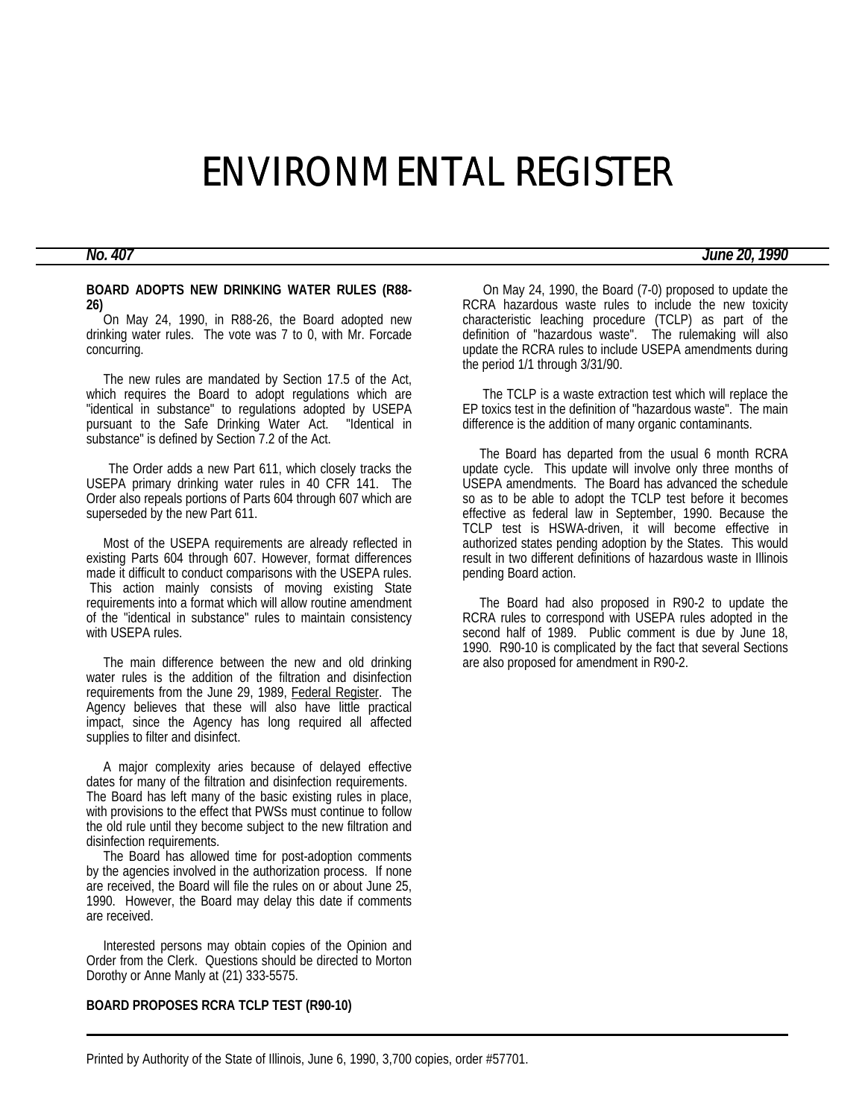# ENVIRONMENTAL REGISTER

# *No. 407 June 20, 1990*

#### **BOARD ADOPTS NEW DRINKING WATER RULES (R88- 26)**

 On May 24, 1990, in R88-26, the Board adopted new drinking water rules. The vote was 7 to 0, with Mr. Forcade concurring.

 The new rules are mandated by Section 17.5 of the Act, which requires the Board to adopt regulations which are "identical in substance" to regulations adopted by USEPA pursuant to the Safe Drinking Water Act. "Identical in substance" is defined by Section 7.2 of the Act.

 The Order adds a new Part 611, which closely tracks the USEPA primary drinking water rules in 40 CFR 141. The Order also repeals portions of Parts 604 through 607 which are superseded by the new Part 611.

 Most of the USEPA requirements are already reflected in existing Parts 604 through 607. However, format differences made it difficult to conduct comparisons with the USEPA rules. This action mainly consists of moving existing State requirements into a format which will allow routine amendment of the "identical in substance" rules to maintain consistency with USEPA rules.

 The main difference between the new and old drinking water rules is the addition of the filtration and disinfection requirements from the June 29, 1989, Federal Register. The Agency believes that these will also have little practical impact, since the Agency has long required all affected supplies to filter and disinfect.

 A major complexity aries because of delayed effective dates for many of the filtration and disinfection requirements. The Board has left many of the basic existing rules in place, with provisions to the effect that PWSs must continue to follow the old rule until they become subject to the new filtration and disinfection requirements.

 The Board has allowed time for post-adoption comments by the agencies involved in the authorization process. If none are received, the Board will file the rules on or about June 25, 1990. However, the Board may delay this date if comments are received.

 Interested persons may obtain copies of the Opinion and Order from the Clerk. Questions should be directed to Morton Dorothy or Anne Manly at (21) 333-5575.

#### **BOARD PROPOSES RCRA TCLP TEST (R90-10)**

 On May 24, 1990, the Board (7-0) proposed to update the RCRA hazardous waste rules to include the new toxicity characteristic leaching procedure (TCLP) as part of the definition of "hazardous waste". The rulemaking will also update the RCRA rules to include USEPA amendments during the period 1/1 through 3/31/90.

 The TCLP is a waste extraction test which will replace the EP toxics test in the definition of "hazardous waste". The main difference is the addition of many organic contaminants.

 The Board has departed from the usual 6 month RCRA update cycle. This update will involve only three months of USEPA amendments. The Board has advanced the schedule so as to be able to adopt the TCLP test before it becomes effective as federal law in September, 1990. Because the TCLP test is HSWA-driven, it will become effective in authorized states pending adoption by the States. This would result in two different definitions of hazardous waste in Illinois pending Board action.

 The Board had also proposed in R90-2 to update the RCRA rules to correspond with USEPA rules adopted in the second half of 1989. Public comment is due by June 18, 1990. R90-10 is complicated by the fact that several Sections are also proposed for amendment in R90-2.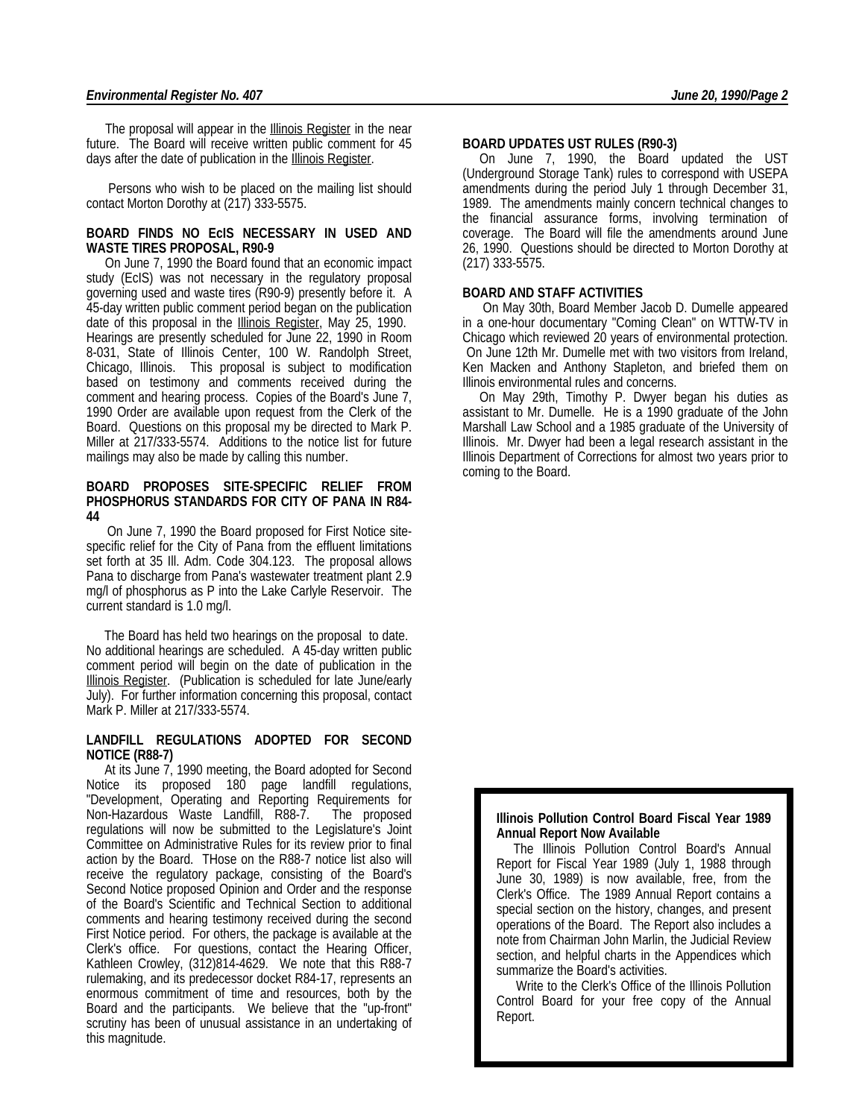The proposal will appear in the Illinois Register in the near future. The Board will receive written public comment for 45 days after the date of publication in the Illinois Register.

 Persons who wish to be placed on the mailing list should contact Morton Dorothy at (217) 333-5575.

#### **BOARD FINDS NO EcIS NECESSARY IN USED AND WASTE TIRES PROPOSAL, R90-9**

 On June 7, 1990 the Board found that an economic impact study (EcIS) was not necessary in the regulatory proposal governing used and waste tires (R90-9) presently before it. A 45-day written public comment period began on the publication date of this proposal in the **Illinois Register**, May 25, 1990. Hearings are presently scheduled for June 22, 1990 in Room 8-031, State of Illinois Center, 100 W. Randolph Street, Chicago, Illinois. This proposal is subject to modification based on testimony and comments received during the comment and hearing process. Copies of the Board's June 7, 1990 Order are available upon request from the Clerk of the Board. Questions on this proposal my be directed to Mark P. Miller at 217/333-5574. Additions to the notice list for future mailings may also be made by calling this number.

#### **BOARD PROPOSES SITE-SPECIFIC RELIEF FROM PHOSPHORUS STANDARDS FOR CITY OF PANA IN R84- 44**

 On June 7, 1990 the Board proposed for First Notice sitespecific relief for the City of Pana from the effluent limitations set forth at 35 Ill. Adm. Code 304.123. The proposal allows Pana to discharge from Pana's wastewater treatment plant 2.9 mg/l of phosphorus as P into the Lake Carlyle Reservoir. The current standard is 1.0 mg/l.

 The Board has held two hearings on the proposal to date. No additional hearings are scheduled. A 45-day written public comment period will begin on the date of publication in the Illinois Register. (Publication is scheduled for late June/early July). For further information concerning this proposal, contact Mark P. Miller at 217/333-5574.

#### **LANDFILL REGULATIONS ADOPTED FOR SECOND NOTICE (R88-7)**

 At its June 7, 1990 meeting, the Board adopted for Second Notice its proposed 180 page landfill regulations, "Development, Operating and Reporting Requirements for Non-Hazardous Waste Landfill, R88-7. The proposed regulations will now be submitted to the Legislature's Joint Committee on Administrative Rules for its review prior to final action by the Board. THose on the R88-7 notice list also will receive the regulatory package, consisting of the Board's Second Notice proposed Opinion and Order and the response of the Board's Scientific and Technical Section to additional comments and hearing testimony received during the second First Notice period. For others, the package is available at the Clerk's office. For questions, contact the Hearing Officer, Kathleen Crowley, (312)814-4629. We note that this R88-7 rulemaking, and its predecessor docket R84-17, represents an enormous commitment of time and resources, both by the Board and the participants. We believe that the "up-front" scrutiny has been of unusual assistance in an undertaking of this magnitude.

#### **BOARD UPDATES UST RULES (R90-3)**

 On June 7, 1990, the Board updated the UST (Underground Storage Tank) rules to correspond with USEPA amendments during the period July 1 through December 31, 1989. The amendments mainly concern technical changes to the financial assurance forms, involving termination of coverage. The Board will file the amendments around June 26, 1990. Questions should be directed to Morton Dorothy at (217) 333-5575.

#### **BOARD AND STAFF ACTIVITIES**

 On May 30th, Board Member Jacob D. Dumelle appeared in a one-hour documentary "Coming Clean" on WTTW-TV in Chicago which reviewed 20 years of environmental protection. On June 12th Mr. Dumelle met with two visitors from Ireland, Ken Macken and Anthony Stapleton, and briefed them on Illinois environmental rules and concerns.

 On May 29th, Timothy P. Dwyer began his duties as assistant to Mr. Dumelle. He is a 1990 graduate of the John Marshall Law School and a 1985 graduate of the University of Illinois. Mr. Dwyer had been a legal research assistant in the Illinois Department of Corrections for almost two years prior to coming to the Board.

#### **Illinois Pollution Control Board Fiscal Year 1989 Annual Report Now Available**

 The Illinois Pollution Control Board's Annual Report for Fiscal Year 1989 (July 1, 1988 through June 30, 1989) is now available, free, from the Clerk's Office. The 1989 Annual Report contains a special section on the history, changes, and present operations of the Board. The Report also includes a note from Chairman John Marlin, the Judicial Review section, and helpful charts in the Appendices which summarize the Board's activities.

 Write to the Clerk's Office of the Illinois Pollution Control Board for your free copy of the Annual Report.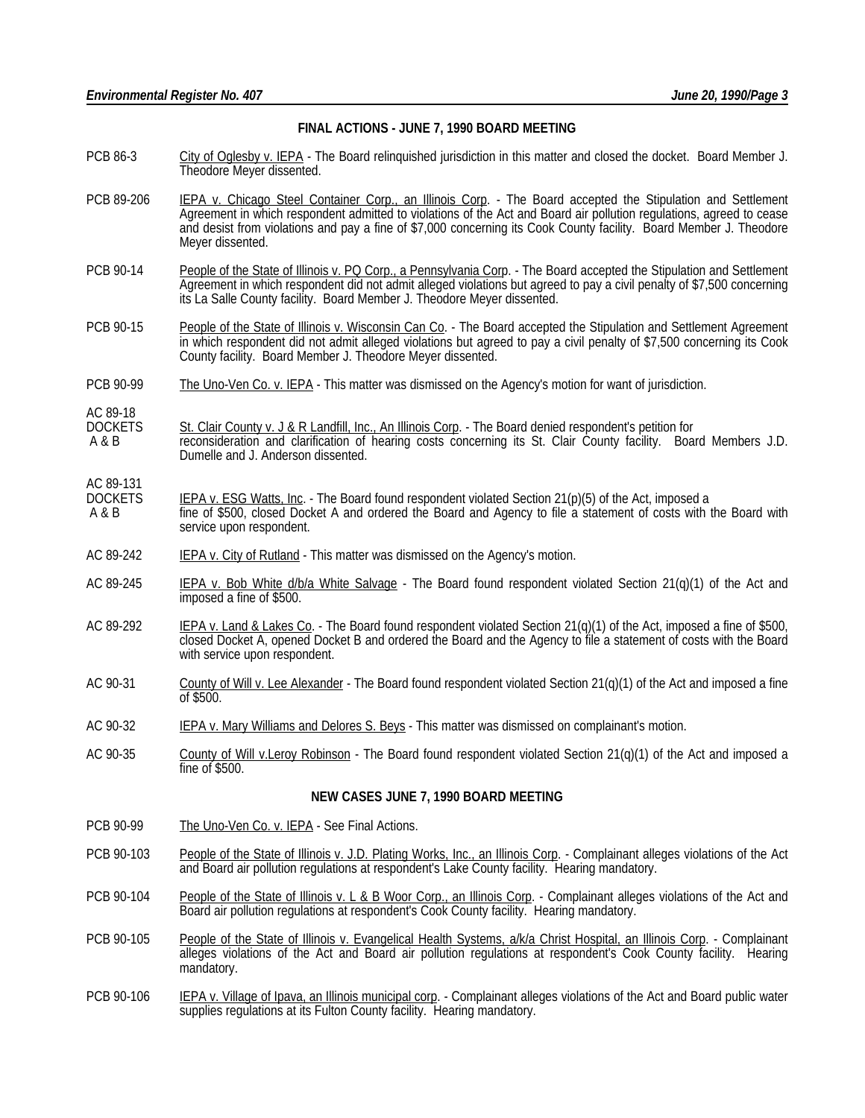## **FINAL ACTIONS - JUNE 7, 1990 BOARD MEETING**

- PCB 86-3 City of Oglesby v. IEPA The Board relinquished jurisdiction in this matter and closed the docket. Board Member J. Theodore Meyer dissented.
- PCB 89-206 IEPA v. Chicago Steel Container Corp., an Illinois Corp. The Board accepted the Stipulation and Settlement Agreement in which respondent admitted to violations of the Act and Board air pollution regulations, agreed to cease and desist from violations and pay a fine of \$7,000 concerning its Cook County facility. Board Member J. Theodore Meyer dissented.
- PCB 90-14 People of the State of Illinois v. PQ Corp., a Pennsylvania Corp. The Board accepted the Stipulation and Settlement Agreement in which respondent did not admit alleged violations but agreed to pay a civil penalty of \$7,500 concerning its La Salle County facility. Board Member J. Theodore Meyer dissented.
- PCB 90-15 People of the State of Illinois v. Wisconsin Can Co. The Board accepted the Stipulation and Settlement Agreement in which respondent did not admit alleged violations but agreed to pay a civil penalty of \$7,500 concerning its Cook County facility. Board Member J. Theodore Meyer dissented.
- PCB 90-99 The Uno-Ven Co. v. IEPA This matter was dismissed on the Agency's motion for want of jurisdiction.

AC 89-18<br>DOCKETS DOCKETS St. Clair County v. J & R Landfill, Inc., An Illinois Corp. - The Board denied respondent's petition for<br>A & B

- reconsideration and clarification of hearing costs concerning its St. Clair County facility. Board Members J.D. Dumelle and J. Anderson dissented.
- AC 89-131<br>DOCKETS
- DOCKETS IEPA v. ESG Watts, Inc. The Board found respondent violated Section 21(p)(5) of the Act, imposed a<br>A & B fine of \$500, closed Docket A and ordered the Board and Agency to file a statement of costs with fine of \$500, closed Docket A and ordered the Board and Agency to file a statement of costs with the Board with service upon respondent.
- AC 89-242 **IEPA v. City of Rutland** This matter was dismissed on the Agency's motion.
- AC 89-245 IEPA v. Bob White  $d/b/a$  White Salvage The Board found respondent violated Section 21(q)(1) of the Act and imposed a fine of \$500.
- AC 89-292 IEPA v. Land & Lakes Co. The Board found respondent violated Section 21(q)(1) of the Act, imposed a fine of \$500, closed Docket A, opened Docket B and ordered the Board and the Agency to file a statement of costs with the Board with service upon respondent.
- AC 90-31 County of Will v. Lee Alexander The Board found respondent violated Section 21(q)(1) of the Act and imposed a fine of \$500.
- AC 90-32 IEPA v. Mary Williams and Delores S. Beys This matter was dismissed on complainant's motion.
- AC 90-35 County of Will v.Leroy Robinson The Board found respondent violated Section 21(q)(1) of the Act and imposed a fine of \$500.

### **NEW CASES JUNE 7, 1990 BOARD MEETING**

- PCB 90-99 The Uno-Ven Co. v. IEPA See Final Actions.
- PCB 90-103 People of the State of Illinois v. J.D. Plating Works, Inc., an Illinois Corp. Complainant alleges violations of the Act and Board air pollution regulations at respondent's Lake County facility. Hearing mandatory.
- PCB 90-104 People of the State of Illinois v. L & B Woor Corp., an Illinois Corp. Complainant alleges violations of the Act and Board air pollution regulations at respondent's Cook County facility. Hearing mandatory.
- PCB 90-105 People of the State of Illinois v. Evangelical Health Systems, a/k/a Christ Hospital, an Illinois Corp. Complainant alleges violations of the Act and Board air pollution regulations at respondent's Cook County facility. Hearing mandatory.
- PCB 90-106 IEPA v. Village of Ipava, an Illinois municipal corp. Complainant alleges violations of the Act and Board public water supplies regulations at its Fulton County facility. Hearing mandatory.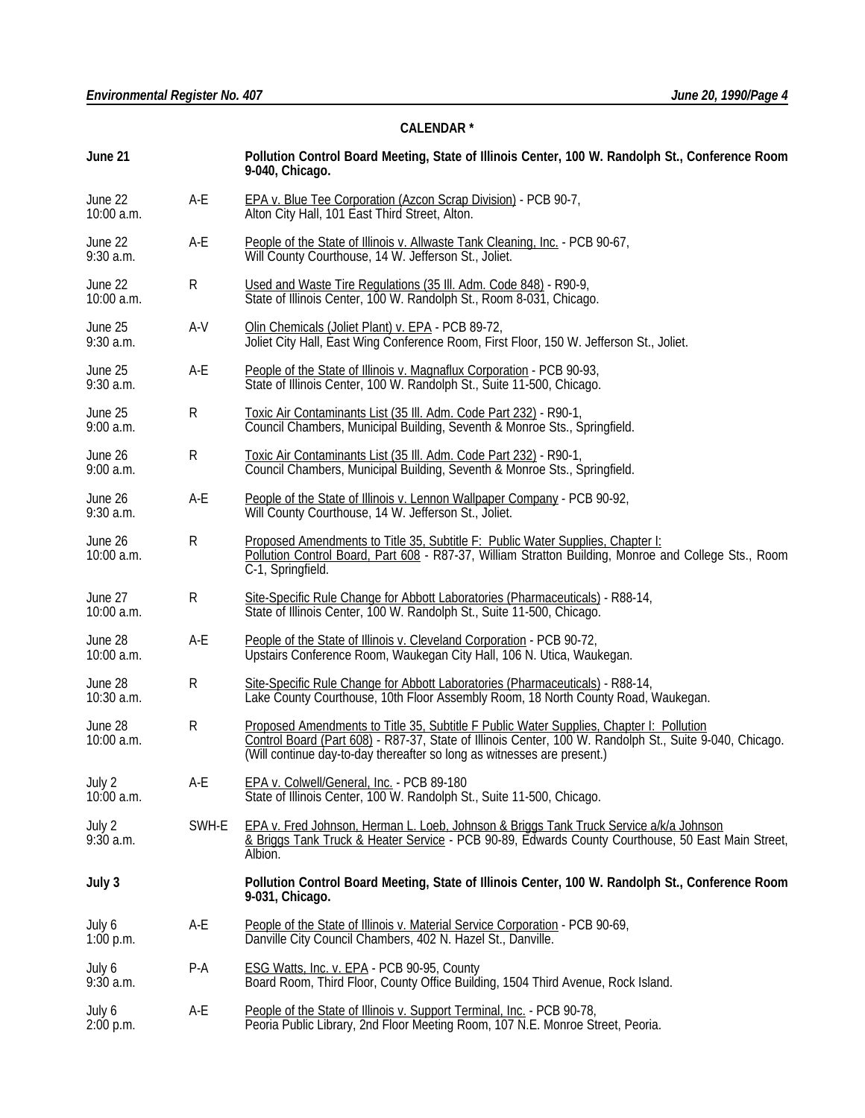# **CALENDAR \***

| June 21                |           | Pollution Control Board Meeting, State of Illinois Center, 100 W. Randolph St., Conference Room<br>9-040, Chicago.                                                                                                                                                            |  |  |
|------------------------|-----------|-------------------------------------------------------------------------------------------------------------------------------------------------------------------------------------------------------------------------------------------------------------------------------|--|--|
| June 22<br>10:00 a.m.  | A-E       | EPA v. Blue Tee Corporation (Azcon Scrap Division) - PCB 90-7,<br>Alton City Hall, 101 East Third Street, Alton.                                                                                                                                                              |  |  |
| June 22<br>$9:30$ a.m. | A-E       | People of the State of Illinois v. Allwaste Tank Cleaning. Inc. - PCB 90-67, Will County Courthouse, 14 W. Jefferson St., Joliet.                                                                                                                                             |  |  |
| June 22<br>10:00 a.m.  | R         | Used and Waste Tire Regulations (35 III. Adm. Code 848) - R90-9,<br>State of Illinois Center, 100 W. Randolph St., Room 8-031, Chicago.                                                                                                                                       |  |  |
| June 25<br>$9:30$ a.m. | A-V       | Olin Chemicals (Joliet Plant) v. EPA - PCB 89-72,<br>Joliet City Hall, East Wing Conference Room, First Floor, 150 W. Jefferson St., Joliet.                                                                                                                                  |  |  |
| June 25<br>$9:30$ a.m. | A-E       | People of the State of Illinois v. Magnaflux Corporation - PCB 90-93,<br>State of Illinois Center, 100 W. Randolph St., Suite 11-500, Chicago.                                                                                                                                |  |  |
| June 25<br>$9:00$ a.m. | R         | Toxic Air Contaminants List (35 III. Adm. Code Part 232) - R90-1,<br>Council Chambers, Municipal Building, Seventh & Monroe Sts., Springfield.                                                                                                                                |  |  |
| June 26<br>$9:00$ a.m. | R         | Toxic Air Contaminants List (35 III. Adm. Code Part 232) - R90-1,<br>Council Chambers, Municipal Building, Seventh & Monroe Sts., Springfield.                                                                                                                                |  |  |
| June 26<br>$9:30$ a.m. | A-E       | People of the State of Illinois v. Lennon Wallpaper Company - PCB 90-92,<br>Will County Courthouse, 14 W. Jefferson St., Joliet.                                                                                                                                              |  |  |
| June 26<br>10:00 a.m.  | R         | Proposed Amendments to Title 35, Subtitle F: Public Water Supplies, Chapter I:<br>Pollution Control Board, Part 608 - R87-37, William Stratton Building, Monroe and College Sts., Room<br>C-1, Springfield.                                                                   |  |  |
| June 27<br>10:00 a.m.  | R         | Site-Specific Rule Change for Abbott Laboratories (Pharmaceuticals) - R88-14, State of Illinois Center, 100 W. Randolph St., Suite 11-500, Chicago.                                                                                                                           |  |  |
| June 28<br>10:00 a.m.  | A-E       | People of the State of Illinois v. Cleveland Corporation - PCB 90-72,<br>Upstairs Conference Room, Waukegan City Hall, 106 N. Utica, Waukegan.                                                                                                                                |  |  |
| June 28<br>10:30 a.m.  | R         | Site-Specific Rule Change for Abbott Laboratories (Pharmaceuticals) - R88-14,<br>Lake County Courthouse, 10th Floor Assembly Room, 18 North County Road, Waukegan.                                                                                                            |  |  |
| June 28<br>10:00 a.m.  | ${\sf R}$ | Proposed Amendments to Title 35, Subtitle F Public Water Supplies, Chapter I: Pollution<br>Control Board (Part 608) - R87-37, State of Illinois Center, 100 W. Randolph St., Suite 9-040, Chicago.<br>(Will continue day-to-day thereafter so long as witnesses are present.) |  |  |
| July 2<br>$10:00$ a.m. | A-E       | EPA v. Colwell/General, Inc. - PCB 89-180<br>State of Illinois Center, 100 W. Randolph St., Suite 11-500, Chicago.                                                                                                                                                            |  |  |
| July 2<br>$9:30$ a.m.  | SWH-E     | EPA v. Fred Johnson, Herman L. Loeb, Johnson & Briggs Tank Truck Service a/k/a Johnson<br>& Briggs Tank Truck & Heater Service - PCB 90-89, Edwards County Courthouse, 50 East Main Street,<br>Albion.                                                                        |  |  |
| July 3                 |           | Pollution Control Board Meeting, State of Illinois Center, 100 W. Randolph St., Conference Room<br>9-031, Chicago.                                                                                                                                                            |  |  |
| July 6<br>1:00 p.m.    | A-E       | People of the State of Illinois v. Material Service Corporation - PCB 90-69,<br>Danville City Council Chambers, 402 N. Hazel St., Danville.                                                                                                                                   |  |  |
| July 6<br>$9:30$ a.m.  | P-A       | <b>ESG Watts, Inc. v. EPA - PCB 90-95, County</b><br>Board Room, Third Floor, County Office Building, 1504 Third Avenue, Rock Island.                                                                                                                                         |  |  |
| July 6<br>$2:00$ p.m.  | A-E       | People of the State of Illinois v. Support Terminal, Inc. - PCB 90-78,<br>Peoria Public Library, 2nd Floor Meeting Room, 107 N.E. Monroe Street, Peoria.                                                                                                                      |  |  |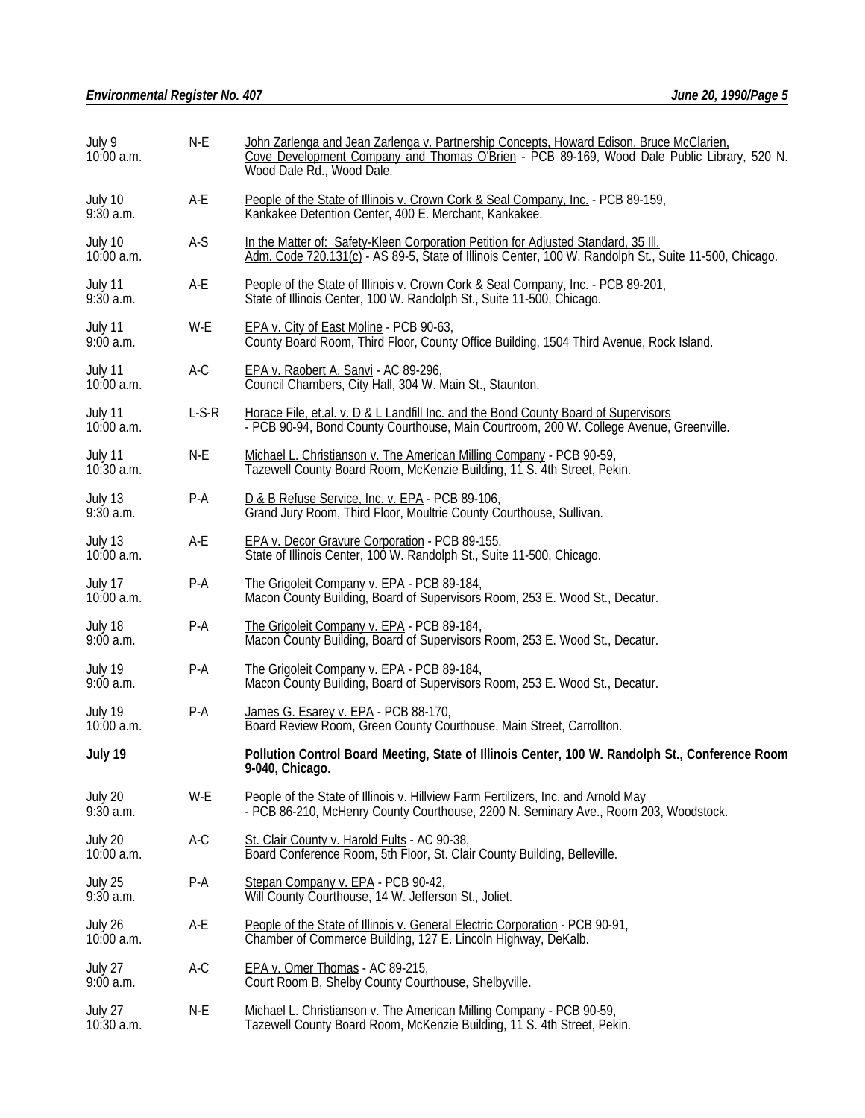| July 9<br>$10:00$ a.m.  | N-E     | John Zarlenga and Jean Zarlenga v. Partnership Concepts, Howard Edison, Bruce McClarien,<br>Cove Development Company and Thomas O'Brien - PCB 89-169, Wood Dale Public Library, 520 N.<br>Wood Dale Rd., Wood Dale. |  |  |
|-------------------------|---------|---------------------------------------------------------------------------------------------------------------------------------------------------------------------------------------------------------------------|--|--|
| July 10<br>$9:30$ a.m.  | A-E     | People of the State of Illinois v. Crown Cork & Seal Company, Inc. - PCB 89-159,<br>Kankakee Detention Center, 400 E. Merchant, Kankakee.                                                                           |  |  |
| July 10<br>$10:00$ a.m. | A-S     | In the Matter of: Safety-Kleen Corporation Petition for Adjusted Standard, 35 III.<br>Adm. Code 720.131(c) - AS 89-5, State of Illinois Center, 100 W. Randolph St., Suite 11-500, Chicago.                         |  |  |
| July 11<br>$9:30$ a.m.  | A-E     | People of the State of Illinois v. Crown Cork & Seal Company, Inc. - PCB 89-201,<br>State of Illinois Center, 100 W. Randolph St., Suite 11-500, Chicago.                                                           |  |  |
| July 11<br>$9:00$ a.m.  | W-E     | EPA v. City of East Moline - PCB 90-63,<br>County Board Room, Third Floor, County Office Building, 1504 Third Avenue, Rock Island.                                                                                  |  |  |
| July 11<br>$10:00$ a.m. | A-C     | EPA v. Raobert A. Sanvi - AC 89-296,<br>Council Chambers, City Hall, 304 W. Main St., Staunton.                                                                                                                     |  |  |
| July 11<br>$10:00$ a.m. | $L-S-R$ | Horace File, et.al. v. D & L Landfill Inc. and the Bond County Board of Supervisors<br>- PCB 90-94, Bond County Courthouse, Main Courtroom, 200 W. College Avenue, Greenville.                                      |  |  |
| July 11<br>$10:30$ a.m. | N-E     | Michael L. Christianson v. The American Milling Company - PCB 90-59,<br>Tazewell County Board Room, McKenzie Building, 11 S. 4th Street, Pekin.                                                                     |  |  |
| July 13<br>$9:30$ a.m.  | P-A     | D & B Refuse Service, Inc. v. EPA - PCB 89-106,<br>Grand Jury Room, Third Floor, Moultrie County Courthouse, Sullivan.                                                                                              |  |  |
| July 13<br>$10:00$ a.m. | A-E     | EPA v. Decor Gravure Corporation - PCB 89-155,<br>State of Illinois Center, 100 W. Randolph St., Suite 11-500, Chicago.                                                                                             |  |  |
| July 17<br>10:00 a.m.   | $P-A$   | The Grigoleit Company v. EPA - PCB 89-184,<br>Macon County Building, Board of Supervisors Room, 253 E. Wood St., Decatur.                                                                                           |  |  |
| July 18<br>9:00a.m.     | P-A     | The Grigoleit Company v. EPA - PCB 89-184,<br>Macon County Building, Board of Supervisors Room, 253 E. Wood St., Decatur.                                                                                           |  |  |
| July 19<br>9:00a.m.     | $P-A$   | The Grigoleit Company v. EPA - PCB 89-184,<br>Macon County Building, Board of Supervisors Room, 253 E. Wood St., Decatur.                                                                                           |  |  |
| July 19<br>$10:00$ a.m. | P-A     | James G. Esarey v. EPA - PCB 88-170,<br>Board Review Room, Green County Courthouse, Main Street, Carrollton.                                                                                                        |  |  |
| July 19                 |         | Pollution Control Board Meeting, State of Illinois Center, 100 W. Randolph St., Conference Room<br>9-040, Chicago.                                                                                                  |  |  |
| July 20<br>$9:30$ a.m.  | W-E     | People of the State of Illinois v. Hillview Farm Fertilizers, Inc. and Arnold May<br>- PCB 86-210, McHenry County Courthouse, 2200 N. Seminary Ave., Room 203, Woodstock.                                           |  |  |
| July 20<br>$10:00$ a.m. | A-C     | St. Clair County v. Harold Fults - AC 90-38,<br>Board Conference Room, 5th Floor, St. Clair County Building, Belleville.                                                                                            |  |  |
| July 25<br>$9:30$ a.m.  | P-A     | Stepan Company v. EPA - PCB 90-42,<br>Will County Courthouse, 14 W. Jefferson St., Joliet.                                                                                                                          |  |  |
| July 26<br>$10:00$ a.m. | A-E     | People of the State of Illinois v. General Electric Corporation - PCB 90-91,<br>Chamber of Commerce Building, 127 E. Lincoln Highway, DeKalb.                                                                       |  |  |
| July 27<br>$9:00$ a.m.  | A-C     | EPA v. Omer Thomas - AC 89-215,<br>Court Room B, Shelby County Courthouse, Shelbyville.                                                                                                                             |  |  |
| July 27<br>$10:30$ a.m. | N-E     | Michael L. Christianson v. The American Milling Company - PCB 90-59,<br>Tazewell County Board Room, McKenzie Building, 11 S. 4th Street, Pekin.                                                                     |  |  |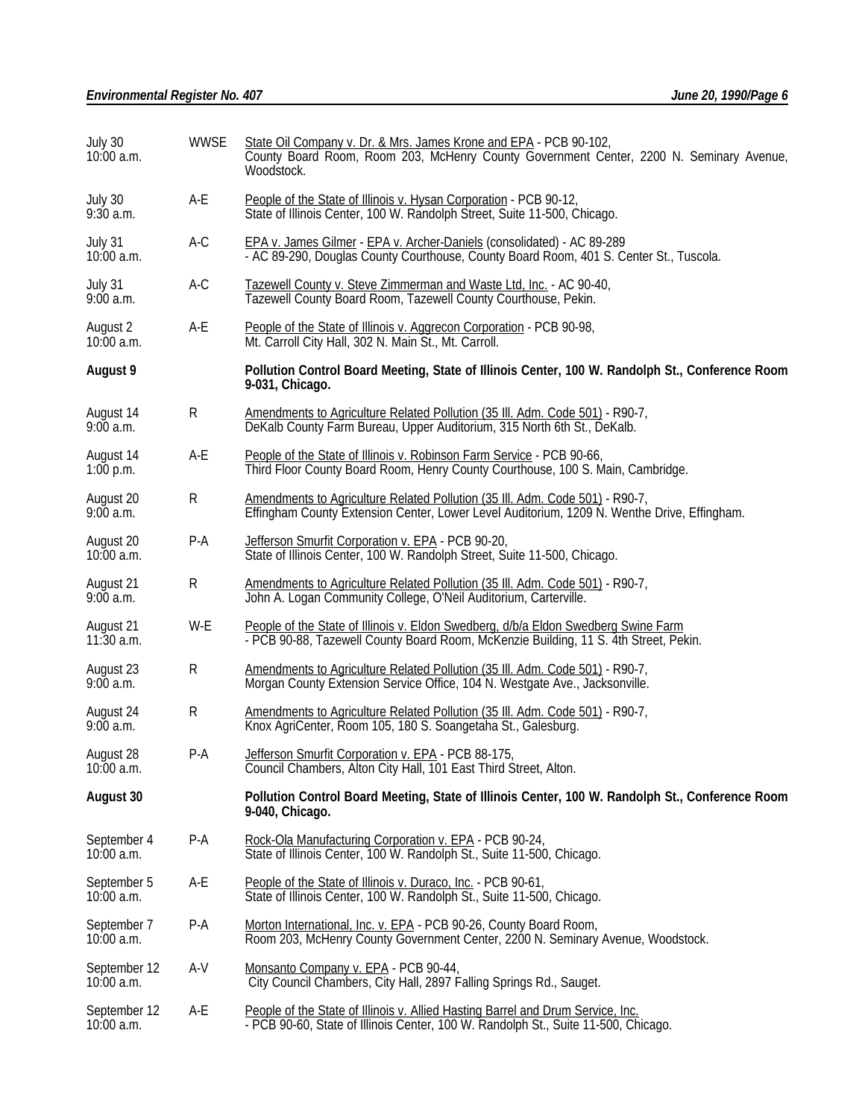| July 30<br>$10:00$ a.m.      | <b>WWSE</b> | State Oil Company v. Dr. & Mrs. James Krone and EPA - PCB 90-102,<br>County Board Room, Room 203, McHenry County Government Center, 2200 N. Seminary Avenue,<br>Woodstock.  |  |  |
|------------------------------|-------------|-----------------------------------------------------------------------------------------------------------------------------------------------------------------------------|--|--|
| July 30<br>$9:30$ a.m.       | A-E         | People of the State of Illinois v. Hysan Corporation - PCB 90-12,<br>State of Illinois Center, 100 W. Randolph Street, Suite 11-500, Chicago.                               |  |  |
| July 31<br>$10:00$ a.m.      | A-C         | EPA v. James Gilmer - EPA v. Archer-Daniels (consolidated) - AC 89-289<br>- AC 89-290, Douglas County Courthouse, County Board Room, 401 S. Center St., Tuscola.            |  |  |
| July 31<br>$9:00$ a.m.       | A-C         | Tazewell County v. Steve Zimmerman and Waste Ltd, Inc. - AC 90-40, Tazewell County Board Room, Tazewell County Courthouse, Pekin.                                           |  |  |
| August 2<br>$10:00$ a.m.     | A-E         | People of the State of Illinois v. Aggrecon Corporation - PCB 90-98,<br>Mt. Carroll City Hall, 302 N. Main St., Mt. Carroll.                                                |  |  |
| August 9                     |             | Pollution Control Board Meeting, State of Illinois Center, 100 W. Randolph St., Conference Room<br>9-031, Chicago.                                                          |  |  |
| August 14<br>$9:00$ a.m.     | ${\sf R}$   | Amendments to Agriculture Related Pollution (35 III. Adm. Code 501) - R90-7,<br>DeKalb County Farm Bureau, Upper Auditorium, 315 North 6th St., DeKalb.                     |  |  |
| August 14<br>1:00 p.m.       | A-E         | People of the State of Illinois v. Robinson Farm Service - PCB 90-66,<br>Third Floor County Board Room, Henry County Courthouse, 100 S. Main, Cambridge.                    |  |  |
| August 20<br>9:00a.m.        | R           | Amendments to Agriculture Related Pollution (35 III. Adm. Code 501) - R90-7,<br>Effingham County Extension Center, Lower Level Auditorium, 1209 N. Wenthe Drive, Effingham. |  |  |
| August 20<br>$10:00$ a.m.    | P-A         | Jefferson Smurfit Corporation v. EPA - PCB 90-20,<br>State of Illinois Center, 100 W. Randolph Street, Suite 11-500, Chicago.                                               |  |  |
| August 21<br>9:00a.m.        | ${\sf R}$   | Amendments to Agriculture Related Pollution (35 III. Adm. Code 501) - R90-7,<br>John A. Logan Community College, O'Neil Auditorium, Carterville.                            |  |  |
| August 21<br>$11:30$ a.m.    | W-E         | People of the State of Illinois v. Eldon Swedberg, d/b/a Eldon Swedberg Swine Farm<br>- PCB 90-88, Tazewell County Board Room, McKenzie Building, 11 S. 4th Street, Pekin.  |  |  |
| August 23<br>9:00a.m.        | ${\sf R}$   | Amendments to Agriculture Related Pollution (35 III. Adm. Code 501) - R90-7,<br>Morgan County Extension Service Office, 104 N. Westgate Ave., Jacksonville.                 |  |  |
| August 24<br>9:00a.m.        | R           | Amendments to Agriculture Related Pollution (35 III. Adm. Code 501) - R90-7,<br>Knox AgriCenter, Room 105, 180 S. Soangetaha St., Galesburg.                                |  |  |
| August 28<br>$10:00$ a.m.    | $P-A$       | Jefferson Smurfit Corporation v. EPA - PCB 88-175,<br>Council Chambers, Alton City Hall, 101 East Third Street, Alton.                                                      |  |  |
| August 30                    |             | Pollution Control Board Meeting, State of Illinois Center, 100 W. Randolph St., Conference Room<br>9-040, Chicago.                                                          |  |  |
| September 4<br>$10:00$ a.m.  | $P-A$       | Rock-Ola Manufacturing Corporation v. EPA - PCB 90-24,<br>State of Illinois Center, 100 W. Randolph St., Suite 11-500, Chicago.                                             |  |  |
| September 5<br>$10:00$ a.m.  | A-E         | People of the State of Illinois v. Duraco, Inc. - PCB 90-61,<br>State of Illinois Center, 100 W. Randolph St., Suite 11-500, Chicago.                                       |  |  |
| September 7<br>10:00 a.m.    | P-A         | Morton International, Inc. v. EPA - PCB 90-26, County Board Room,<br>Room 203, McHenry County Government Center, 2200 N. Seminary Avenue, Woodstock.                        |  |  |
| September 12<br>$10:00$ a.m. | A-V         | Monsanto Company v. EPA - PCB 90-44,<br>City Council Chambers, City Hall, 2897 Falling Springs Rd., Sauget.                                                                 |  |  |
| September 12<br>10:00 a.m.   | A-E         | People of the State of Illinois v. Allied Hasting Barrel and Drum Service, Inc.<br>- PCB 90-60, State of Illinois Center, 100 W. Randolph St., Suite 11-500, Chicago.       |  |  |